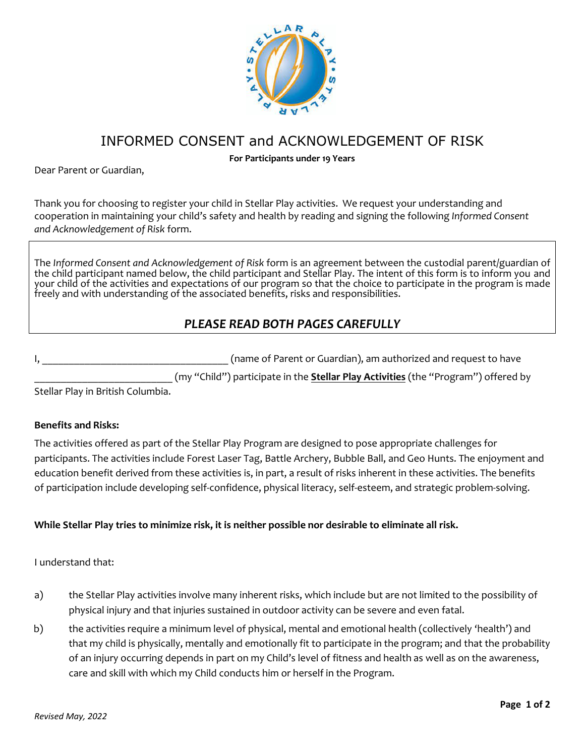

# INFORMED CONSENT and ACKNOWLEDGEMENT OF RISK

**For Participants under 19 Years** 

Dear Parent or Guardian,

Thank you for choosing to register your child in Stellar Play activities. We request your understanding and cooperation in maintaining your child's safety and health by reading and signing the following *Informed Consent and Acknowledgement of Risk* form.

The *Informed Consent and Acknowledgement of Risk* form is an agreement between the custodial parent/guardian of the child participant named below, the child participant and Stellar Play. The intent of this form is to inform you and your child of the activities and expectations of our program so that the choice to participate in the program is made freely and with understanding of the associated benefits, risks and responsibilities.

## *PLEASE READ BOTH PAGES CAREFULLY*

|  |  |  | (name of Parent or Guardian), am authorized and request to have                                                |  |  |
|--|--|--|----------------------------------------------------------------------------------------------------------------|--|--|
|  |  |  | 1990 - San San Andrea (1990) - San Andrea (1990) - San Andrea (1990) - San Andrea (1990) - San Andrea (1990) - |  |  |

\_\_\_\_\_\_\_\_\_\_\_\_\_\_\_\_\_\_\_\_\_\_\_\_\_\_ (my "Child") participate in the **Stellar Play Activities** (the "Program") offered by

Stellar Play in British Columbia.

#### **Benefits and Risks:**

The activities offered as part of the Stellar Play Program are designed to pose appropriate challenges for participants. The activities include Forest Laser Tag, Battle Archery, Bubble Ball, and Geo Hunts. The enjoyment and education benefit derived from these activities is, in part, a result of risks inherent in these activities. The benefits of participation include developing self-confidence, physical literacy, self-esteem, and strategic problem-solving.

### **While Stellar Play tries to minimize risk, it is neither possible nor desirable to eliminate all risk.**

#### I understand that:

- a) the Stellar Play activities involve many inherent risks, which include but are not limited to the possibility of physical injury and that injuries sustained in outdoor activity can be severe and even fatal.
- b) the activities require a minimum level of physical, mental and emotional health (collectively 'health') and that my child is physically, mentally and emotionally fit to participate in the program; and that the probability of an injury occurring depends in part on my Child's level of fitness and health as well as on the awareness, care and skill with which my Child conducts him or herself in the Program.